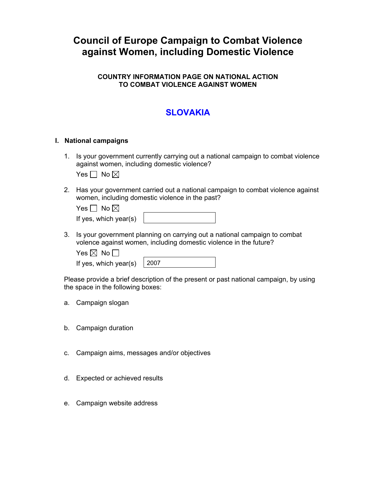# **Council of Europe Campaign to Combat Violence against Women, including Domestic Violence**

## **COUNTRY INFORMATION PAGE ON NATIONAL ACTION TO COMBAT VIOLENCE AGAINST WOMEN**

# **SLOVAKIA**

## **I. National campaigns**

1. Is your government currently carrying out a national campaign to combat violence against women, including domestic violence?

|  | No I⊠l |  |
|--|--------|--|
|--|--------|--|

2. Has your government carried out a national campaign to combat violence against women, including domestic violence in the past?

Yes  $\Box$  No  $\boxtimes$ 

|  | If yes, which year(s) |
|--|-----------------------|
|  |                       |

3. Is your government planning on carrying out a national campaign to combat volence against women, including domestic violence in the future?

| Yes $\boxtimes$ No $\Box$          |  |
|------------------------------------|--|
| If yes, which year(s) $\vert$ 2007 |  |

Please provide a brief description of the present or past national campaign, by using the space in the following boxes:

- a. Campaign slogan
- b. Campaign duration
- c. Campaign aims, messages and/or objectives
- d. Expected or achieved results
- e. Campaign website address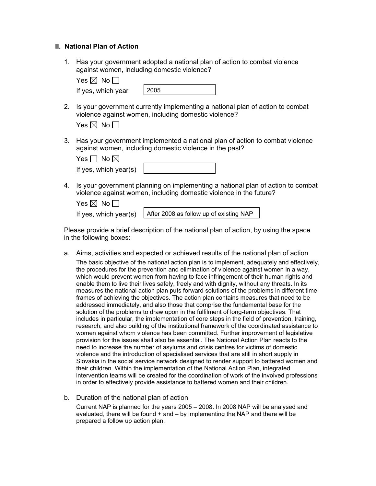#### **II. National Plan of Action**

1. Has your government adopted a national plan of action to combat violence against women, including domestic violence?

| Yes $\boxtimes$ No $\Box$ |      |
|---------------------------|------|
| If yes, which year        | 2005 |

2. Is your government currently implementing a national plan of action to combat violence against women, including domestic violence?

| IXI<br>-5 | NC |  |
|-----------|----|--|
|-----------|----|--|

3. Has your government implemented a national plan of action to combat violence against women, including domestic violence in the past?

| Yes $\Box$ No $\boxtimes$ |  |
|---------------------------|--|
| If yes, which year(s)     |  |

4. Is your government planning on implementing a national plan of action to combat violence against women, including domestic violence in the future?

| Yes $\boxtimes$ No $\Box$ |                                         |
|---------------------------|-----------------------------------------|
| If yes, which year(s)     | After 2008 as follow up of existing NAP |

Please provide a brief description of the national plan of action, by using the space in the following boxes:

- a. Aims, activities and expected or achieved results of the national plan of action The basic objective of the national action plan is to implement, adequately and effectively, the procedures for the prevention and elimination of violence against women in a way, which would prevent women from having to face infringement of their human rights and enable them to live their lives safely, freely and with dignity, without any threats. In its measures the national action plan puts forward solutions of the problems in different time frames of achieving the objectives. The action plan contains measures that need to be addressed immediately, and also those that comprise the fundamental base for the solution of the problems to draw upon in the fulfilment of long-term objectives. That includes in particular, the implementation of core steps in the field of prevention, training, research, and also building of the institutional framework of the coordinated assistance to women against whom violence has been committed. Further improvement of legislative provision for the issues shall also be essential. The National Action Plan reacts to the need to increase the number of asylums and crisis centres for victims of domestic violence and the introduction of specialised services that are still in short supply in Slovakia in the social service network designed to render support to battered women and their children. Within the implementation of the National Action Plan, integrated intervention teams will be created for the coordination of work of the involved professions in order to effectively provide assistance to battered women and their children.
- b. Duration of the national plan of action

Current NAP is planned for the years 2005 – 2008. In 2008 NAP will be analysed and evaluated, there will be found  $+$  and  $-$  by implementing the NAP and there will be prepared a follow up action plan.